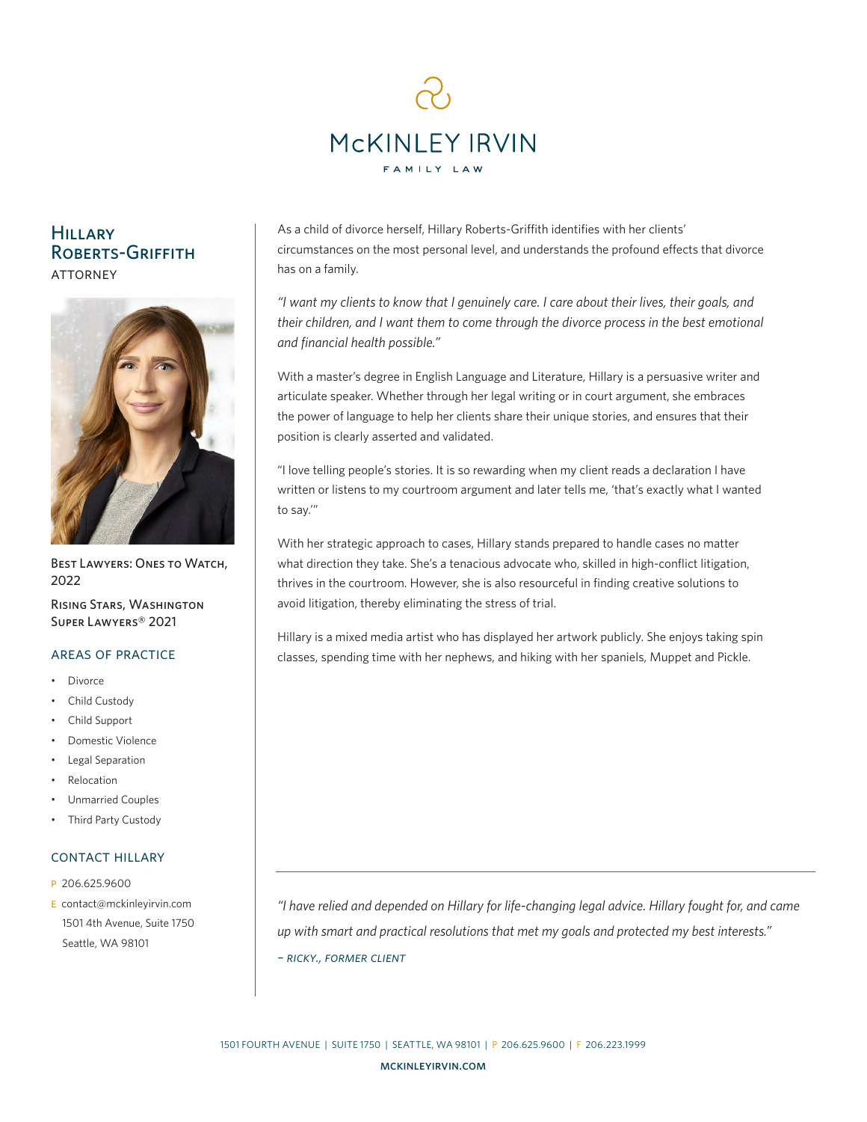

# **HILLARY** ROBERTS-GRIFFITH **ATTORNEY**



BEST LAWYERS: ONES TO WATCH, 2022

Rising Stars, Washington Super Lawyers® 2021

- **Divorce**
- Child Custody
- Child Support
- Domestic Violence
- Legal Separation
- **Relocation**
- Unmarried Couples
- Third Party Custody

# contact hillary

- p 206.625.9600
- e contact@mckinleyirvin.com 1501 4th Avenue, Suite 1750 Seattle, WA 98101

As a child of divorce herself, Hillary Roberts-Griffith identifies with her clients' circumstances on the most personal level, and understands the profound effects that divorce has on a family.

*"I want my clients to know that I genuinely care. I care about their lives, their goals, and their children, and I want them to come through the divorce process in the best emotional and financial health possible."*

With a master's degree in English Language and Literature, Hillary is a persuasive writer and articulate speaker. Whether through her legal writing or in court argument, she embraces the power of language to help her clients share their unique stories, and ensures that their position is clearly asserted and validated.

"I love telling people's stories. It is so rewarding when my client reads a declaration I have written or listens to my courtroom argument and later tells me, 'that's exactly what I wanted to say.'"

With her strategic approach to cases, Hillary stands prepared to handle cases no matter what direction they take. She's a tenacious advocate who, skilled in high-conflict litigation, thrives in the courtroom. However, she is also resourceful in finding creative solutions to avoid litigation, thereby eliminating the stress of trial.

Hillary is a mixed media artist who has displayed her artwork publicly. She enjoys taking spin AREAS OF PRACTICE classes, spending time with her nephews, and hiking with her spaniels, Muppet and Pickle.

> *"I have relied and depended on Hillary for life-changing legal advice. Hillary fought for, and came up with smart and practical resolutions that met my goals and protected my best interests." – ricky., former client*

1501 FOURTH AVENUE | SUITE 1750 | SEATTLE, WA 98101 | P 206.625.9600 | F 206.223.1999

mckinleyirvin.com